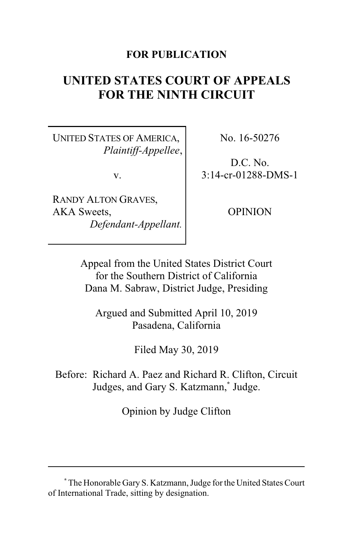#### **FOR PUBLICATION**

# **UNITED STATES COURT OF APPEALS FOR THE NINTH CIRCUIT**

UNITED STATES OF AMERICA, *Plaintiff-Appellee*,

v.

RANDY ALTON GRAVES, AKA Sweets, *Defendant-Appellant.* No. 16-50276

D.C. No. 3:14-cr-01288-DMS-1

OPINION

Appeal from the United States District Court for the Southern District of California Dana M. Sabraw, District Judge, Presiding

Argued and Submitted April 10, 2019 Pasadena, California

Filed May 30, 2019

Before: Richard A. Paez and Richard R. Clifton, Circuit Judges, and Gary S. Katzmann,**\*** Judge.

Opinion by Judge Clifton

**<sup>\*</sup>** The Honorable Gary S. Katzmann, Judge for the United States Court of International Trade, sitting by designation.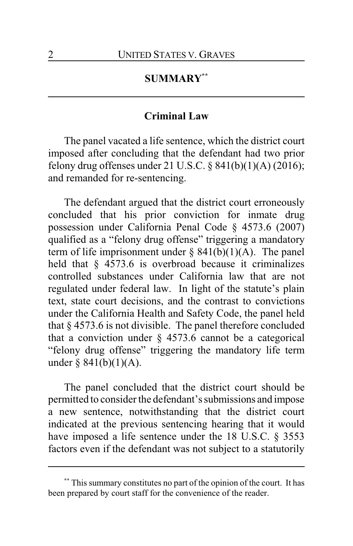## **SUMMARY\*\***

#### **Criminal Law**

The panel vacated a life sentence, which the district court imposed after concluding that the defendant had two prior felony drug offenses under 21 U.S.C.  $\S$  841(b)(1)(A) (2016); and remanded for re-sentencing.

The defendant argued that the district court erroneously concluded that his prior conviction for inmate drug possession under California Penal Code § 4573.6 (2007) qualified as a "felony drug offense" triggering a mandatory term of life imprisonment under  $\S$  841(b)(1)(A). The panel held that § 4573.6 is overbroad because it criminalizes controlled substances under California law that are not regulated under federal law. In light of the statute's plain text, state court decisions, and the contrast to convictions under the California Health and Safety Code, the panel held that § 4573.6 is not divisible. The panel therefore concluded that a conviction under  $\S$  4573.6 cannot be a categorical "felony drug offense" triggering the mandatory life term under  $§ 841(b)(1)(A)$ .

The panel concluded that the district court should be permitted to consider the defendant's submissions and impose a new sentence, notwithstanding that the district court indicated at the previous sentencing hearing that it would have imposed a life sentence under the 18 U.S.C. § 3553 factors even if the defendant was not subject to a statutorily

**<sup>\*\*</sup>** This summary constitutes no part of the opinion of the court. It has been prepared by court staff for the convenience of the reader.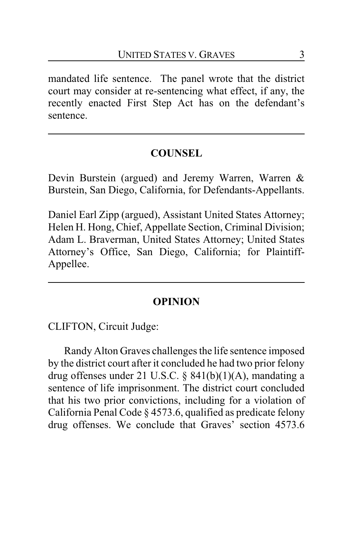mandated life sentence. The panel wrote that the district court may consider at re-sentencing what effect, if any, the recently enacted First Step Act has on the defendant's sentence.

## **COUNSEL**

Devin Burstein (argued) and Jeremy Warren, Warren & Burstein, San Diego, California, for Defendants-Appellants.

Daniel Earl Zipp (argued), Assistant United States Attorney; Helen H. Hong, Chief, Appellate Section, Criminal Division; Adam L. Braverman, United States Attorney; United States Attorney's Office, San Diego, California; for Plaintiff-Appellee.

#### **OPINION**

CLIFTON, Circuit Judge:

Randy Alton Graves challenges the life sentence imposed by the district court after it concluded he had two prior felony drug offenses under 21 U.S.C. § 841(b)(1)(A), mandating a sentence of life imprisonment. The district court concluded that his two prior convictions, including for a violation of California Penal Code § 4573.6, qualified as predicate felony drug offenses. We conclude that Graves' section 4573.6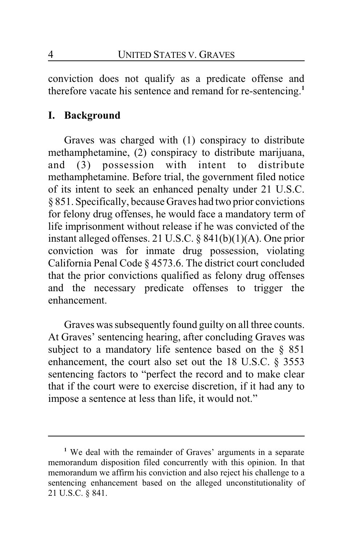conviction does not qualify as a predicate offense and therefore vacate his sentence and remand for re-sentencing.**<sup>1</sup>**

## **I. Background**

Graves was charged with (1) conspiracy to distribute methamphetamine, (2) conspiracy to distribute marijuana, and (3) possession with intent to distribute methamphetamine. Before trial, the government filed notice of its intent to seek an enhanced penalty under 21 U.S.C. § 851. Specifically, because Graves had two prior convictions for felony drug offenses, he would face a mandatory term of life imprisonment without release if he was convicted of the instant alleged offenses. 21 U.S.C. § 841(b)(1)(A). One prior conviction was for inmate drug possession, violating California Penal Code § 4573.6. The district court concluded that the prior convictions qualified as felony drug offenses and the necessary predicate offenses to trigger the enhancement.

Graves was subsequently found guilty on all three counts. At Graves' sentencing hearing, after concluding Graves was subject to a mandatory life sentence based on the  $\S$  851 enhancement, the court also set out the 18 U.S.C. § 3553 sentencing factors to "perfect the record and to make clear that if the court were to exercise discretion, if it had any to impose a sentence at less than life, it would not."

**<sup>1</sup>** We deal with the remainder of Graves' arguments in a separate memorandum disposition filed concurrently with this opinion. In that memorandum we affirm his conviction and also reject his challenge to a sentencing enhancement based on the alleged unconstitutionality of 21 U.S.C. § 841.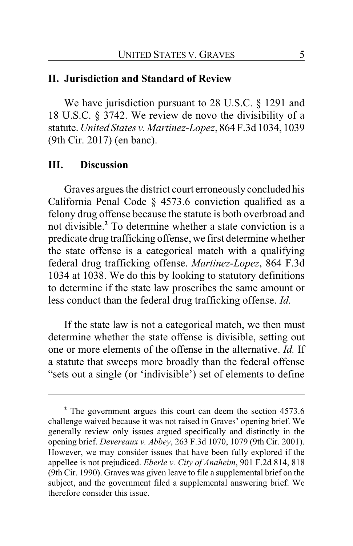#### **II. Jurisdiction and Standard of Review**

We have jurisdiction pursuant to 28 U.S.C. § 1291 and 18 U.S.C. § 3742. We review de novo the divisibility of a statute. *United States v. Martinez-Lopez*, 864 F.3d 1034, 1039 (9th Cir. 2017) (en banc).

#### **III. Discussion**

Graves argues the district court erroneously concluded his California Penal Code § 4573.6 conviction qualified as a felony drug offense because the statute is both overbroad and not divisible.**<sup>2</sup>** To determine whether a state conviction is a predicate drug trafficking offense, we first determine whether the state offense is a categorical match with a qualifying federal drug trafficking offense. *Martinez-Lopez*, 864 F.3d 1034 at 1038. We do this by looking to statutory definitions to determine if the state law proscribes the same amount or less conduct than the federal drug trafficking offense. *Id.*

If the state law is not a categorical match, we then must determine whether the state offense is divisible, setting out one or more elements of the offense in the alternative. *Id.* If a statute that sweeps more broadly than the federal offense "sets out a single (or 'indivisible') set of elements to define

<sup>&</sup>lt;sup>2</sup> The government argues this court can deem the section 4573.6 challenge waived because it was not raised in Graves' opening brief. We generally review only issues argued specifically and distinctly in the opening brief. *Devereaux v. Abbey*, 263 F.3d 1070, 1079 (9th Cir. 2001). However, we may consider issues that have been fully explored if the appellee is not prejudiced. *Eberle v. City of Anaheim*, 901 F.2d 814, 818 (9th Cir. 1990). Graves was given leave to file a supplemental brief on the subject, and the government filed a supplemental answering brief. We therefore consider this issue.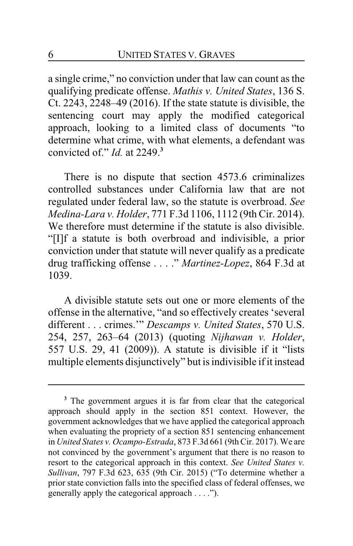a single crime," no conviction under that law can count as the qualifying predicate offense. *Mathis v. United States*, 136 S. Ct. 2243, 2248–49 (2016). If the state statute is divisible, the sentencing court may apply the modified categorical approach, looking to a limited class of documents "to determine what crime, with what elements, a defendant was convicted of." *Id.* at 2249.**<sup>3</sup>**

There is no dispute that section 4573.6 criminalizes controlled substances under California law that are not regulated under federal law, so the statute is overbroad. *See Medina-Lara v. Holder*, 771 F.3d 1106, 1112 (9th Cir. 2014). We therefore must determine if the statute is also divisible. "[I]f a statute is both overbroad and indivisible, a prior conviction under that statute will never qualify as a predicate drug trafficking offense . . . ." *Martinez-Lopez*, 864 F.3d at 1039.

A divisible statute sets out one or more elements of the offense in the alternative, "and so effectively creates 'several different . . . crimes.'" *Descamps v. United States*, 570 U.S. 254, 257, 263–64 (2013) (quoting *Nijhawan v. Holder*, 557 U.S. 29, 41 (2009)). A statute is divisible if it "lists multiple elements disjunctively" but is indivisible if it instead

**<sup>3</sup>** The government argues it is far from clear that the categorical approach should apply in the section 851 context. However, the government acknowledges that we have applied the categorical approach when evaluating the propriety of a section 851 sentencing enhancement in *United States v. Ocampo-Estrada*, 873 F.3d 661 (9th Cir. 2017). We are not convinced by the government's argument that there is no reason to resort to the categorical approach in this context. *See United States v. Sullivan*, 797 F.3d 623, 635 (9th Cir. 2015) ("To determine whether a prior state conviction falls into the specified class of federal offenses, we generally apply the categorical approach . . . .").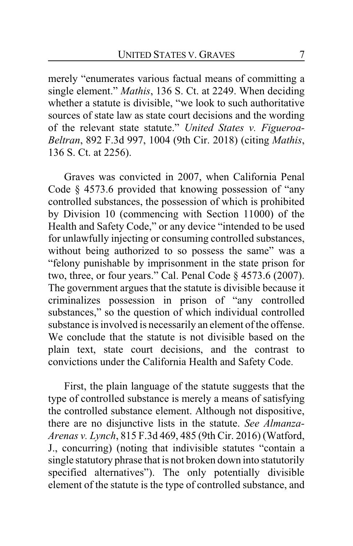merely "enumerates various factual means of committing a single element." *Mathis*, 136 S. Ct. at 2249. When deciding whether a statute is divisible, "we look to such authoritative sources of state law as state court decisions and the wording of the relevant state statute." *United States v. Figueroa-Beltran*, 892 F.3d 997, 1004 (9th Cir. 2018) (citing *Mathis*, 136 S. Ct. at 2256).

Graves was convicted in 2007, when California Penal Code § 4573.6 provided that knowing possession of "any controlled substances, the possession of which is prohibited by Division 10 (commencing with Section 11000) of the Health and Safety Code," or any device "intended to be used for unlawfully injecting or consuming controlled substances, without being authorized to so possess the same" was a "felony punishable by imprisonment in the state prison for two, three, or four years." Cal. Penal Code § 4573.6 (2007). The government argues that the statute is divisible because it criminalizes possession in prison of "any controlled substances," so the question of which individual controlled substance is involved is necessarily an element of the offense. We conclude that the statute is not divisible based on the plain text, state court decisions, and the contrast to convictions under the California Health and Safety Code.

First, the plain language of the statute suggests that the type of controlled substance is merely a means of satisfying the controlled substance element. Although not dispositive, there are no disjunctive lists in the statute. *See Almanza-Arenas v. Lynch*, 815 F.3d 469, 485 (9th Cir. 2016) (Watford, J., concurring) (noting that indivisible statutes "contain a single statutory phrase that is not broken down into statutorily specified alternatives"). The only potentially divisible element of the statute is the type of controlled substance, and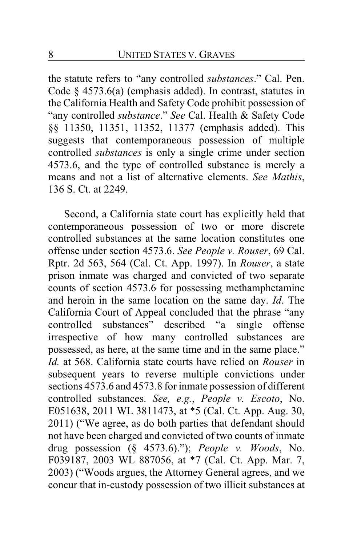the statute refers to "any controlled *substances*." Cal. Pen. Code § 4573.6(a) (emphasis added). In contrast, statutes in the California Health and Safety Code prohibit possession of "any controlled *substance*." *See* Cal. Health & Safety Code §§ 11350, 11351, 11352, 11377 (emphasis added). This suggests that contemporaneous possession of multiple controlled *substances* is only a single crime under section 4573.6, and the type of controlled substance is merely a means and not a list of alternative elements. *See Mathis*, 136 S. Ct. at 2249.

Second, a California state court has explicitly held that contemporaneous possession of two or more discrete controlled substances at the same location constitutes one offense under section 4573.6. *See People v. Rouser*, 69 Cal. Rptr. 2d 563, 564 (Cal. Ct. App. 1997). In *Rouser*, a state prison inmate was charged and convicted of two separate counts of section 4573.6 for possessing methamphetamine and heroin in the same location on the same day. *Id*. The California Court of Appeal concluded that the phrase "any controlled substances" described "a single offense irrespective of how many controlled substances are possessed, as here, at the same time and in the same place." *Id.* at 568. California state courts have relied on *Rouser* in subsequent years to reverse multiple convictions under sections 4573.6 and 4573.8 for inmate possession of different controlled substances. *See, e.g.*, *People v. Escoto*, No. E051638, 2011 WL 3811473, at \*5 (Cal. Ct. App. Aug. 30, 2011) ("We agree, as do both parties that defendant should not have been charged and convicted of two counts of inmate drug possession (§ 4573.6)."); *People v. Woods*, No. F039187, 2003 WL 887056, at \*7 (Cal. Ct. App. Mar. 7, 2003) ("Woods argues, the Attorney General agrees, and we concur that in-custody possession of two illicit substances at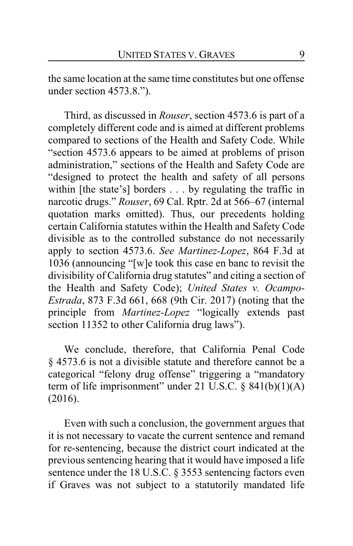the same location at the same time constitutes but one offense under section 4573.8.").

Third, as discussed in *Rouser*, section 4573.6 is part of a completely different code and is aimed at different problems compared to sections of the Health and Safety Code. While "section 4573.6 appears to be aimed at problems of prison administration," sections of the Health and Safety Code are "designed to protect the health and safety of all persons within [the state's] borders . . . by regulating the traffic in narcotic drugs." *Rouser*, 69 Cal. Rptr. 2d at 566–67 (internal quotation marks omitted). Thus, our precedents holding certain California statutes within the Health and Safety Code divisible as to the controlled substance do not necessarily apply to section 4573.6. *See Martinez-Lopez*, 864 F.3d at 1036 (announcing "[w]e took this case en banc to revisit the divisibility of California drug statutes" and citing a section of the Health and Safety Code); *United States v. Ocampo-Estrada*, 873 F.3d 661, 668 (9th Cir. 2017) (noting that the principle from *Martinez-Lopez* "logically extends past section 11352 to other California drug laws").

We conclude, therefore, that California Penal Code § 4573.6 is not a divisible statute and therefore cannot be a categorical "felony drug offense" triggering a "mandatory term of life imprisonment" under 21 U.S.C. § 841(b)(1)(A) (2016).

Even with such a conclusion, the government argues that it is not necessary to vacate the current sentence and remand for re-sentencing, because the district court indicated at the previous sentencing hearing that it would have imposed a life sentence under the 18 U.S.C. § 3553 sentencing factors even if Graves was not subject to a statutorily mandated life